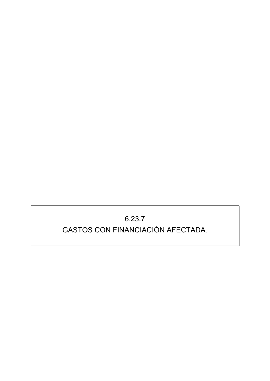## $6.23.7$ GASTOS CON FINANCIACIÓN AFECTADA.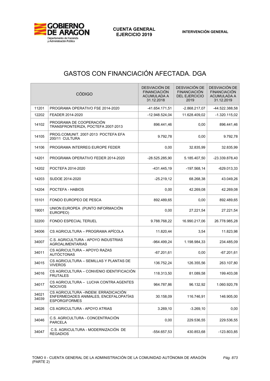

## GASTOS CON FINANCIACIÓN AFECTADA. DGA

| <b>CÓDIGO</b>  |                                                                                                       | DESVIACIÓN DE<br><b>FINANCIACIÓN</b><br><b>ACUMULADA A</b><br>31.12.2018 | DESVIACIÓN DE<br><b>FINANCIACIÓN</b><br><b>DEL EJERCICIO</b><br>2019 | DESVIACIÓN DE<br><b>FINANCIACIÓN</b><br><b>ACUMULADA A</b><br>31.12.2019 |
|----------------|-------------------------------------------------------------------------------------------------------|--------------------------------------------------------------------------|----------------------------------------------------------------------|--------------------------------------------------------------------------|
| 11201          | PROGRAMA OPERATIVO FSE 2014-2020                                                                      | -41.654.171,51                                                           | $-2.868.217,07$                                                      | -44.522.388,58                                                           |
| 12202          | FEADER 2014-2020                                                                                      | -12.948.524,04                                                           | 11.628.409,02                                                        | $-1.320.115,02$                                                          |
| 14102          | PROGRAMA DE COOPERACIÓN<br>TRANSFRONTERIZA, POCTEFA 2007-2013                                         | 896.441,46                                                               | 0,00                                                                 | 896.441,46                                                               |
| 14105          | PROG.COMUNIT, 2007-2013 POCTEFA EFA<br>200/11 CULTURA                                                 | 9.792,78                                                                 | 0,00                                                                 | 9.792,78                                                                 |
| 14106          | PROGRAMA INTERREG EUROPE FEDER                                                                        | 0,00                                                                     | 32.835,99                                                            | 32.835,99                                                                |
| 14201          | PROGRAMA OPERATIVO FEDER 2014-2020                                                                    | -28.525.285,90                                                           | 5.185.407,50                                                         | -23.339.878,40                                                           |
| 14202          | POCTEFA 2014-2020                                                                                     | -431.445,19                                                              | $-197.568,14$                                                        | $-629.013,33$                                                            |
| 14203          | SUDOE 2014-2020                                                                                       | $-25.219,12$                                                             | 68.268,38                                                            | 43.049,26                                                                |
| 14204          | POCTEFA - HABIOS                                                                                      | 0,00                                                                     | 42.269,08                                                            | 42.269,08                                                                |
| 15101          | FONDO EUROPEO DE PESCA                                                                                | 892.489,65                                                               | 0,00                                                                 | 892.489,65                                                               |
| 19001          | UNION EUROPEA (PUNTO INFORMACIÓN<br>EUROPEO)                                                          | 0,00                                                                     | 27.221,54                                                            | 27.221,54                                                                |
| 32200          | <b>FONDO ESPECIAL TERUEL</b>                                                                          | 9.788.768,22                                                             | 16.990.217,06                                                        | 26.778.985,28                                                            |
| 34006          | CS AGRICULTURA - PROGRAMA APÍCOLA                                                                     | 11.820,44                                                                | 3,54                                                                 | 11.823,98                                                                |
| 34007          | C.S. AGRICULTURA - APOYO INDUSTRIAS<br><b>AGROALIMENTARIAS</b>                                        | -964.499.24                                                              | 1.198.984,33                                                         | 234.485,09                                                               |
| 34011          | CS AGRICULTURA – APOYO RAZAS<br><b>AUTÓCTONAS</b>                                                     | $-67.201,61$                                                             | 0,00                                                                 | $-67.201,61$                                                             |
| 34015          | CS AGRICULTURA - SEMILLAS Y PLANTAS DE<br><b>VIVEROS</b>                                              | 136.752,24                                                               | 126.355,56                                                           | 263.107,80                                                               |
| 34016          | CS AGRICULTURA - CONVENIO IDENTIFICACIÓN<br><b>FRUTALES</b>                                           | 118.313,50                                                               | 81.089,58                                                            | 199.403,08                                                               |
| 34017          | CS AGRICULTURA - LUCHA CONTRA AGENTES<br><b>NOCIVOS</b>                                               | 964.787,86                                                               | 96.132,92                                                            | 1.060.920,78                                                             |
| 34021<br>34039 | CS AGRICULTURA - INDEM. ERRADICACIÓN<br>ENFERMEDADES ANIMALES, ENCEFALOPATÍAS<br><b>ESPORGIFORMES</b> | 30.158,09                                                                | 116.746,91                                                           | 146.905,00                                                               |
| 34026          | CS AGRICULTURA - APOYO ATRIAS                                                                         | 3.269,10                                                                 | $-3.269, 10$                                                         | 0,00                                                                     |
| 34046          | C.S. AGRICULTURA - CONCENTRACIÓN<br><b>PARCELA</b>                                                    | 0,00                                                                     | 229.536,55                                                           | 229.536,55                                                               |
| 34047          | C.S. AGRICULTURA - MODERNIZACIÓN DE<br>REGADIOS                                                       | -554.657,53                                                              | 430.853,68                                                           | -123.803,85                                                              |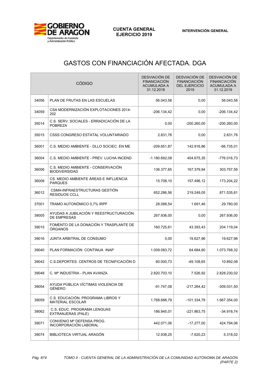

## GASTOS CON FINANCIACIÓN AFECTADA. DGA

| <b>CÓDIGO</b> |                                                              | DESVIACIÓN DE<br><b>FINANCIACIÓN</b><br><b>ACUMULADA A</b><br>31.12.2018 | DESVIACIÓN DE<br><b>FINANCIACIÓN</b><br><b>DEL EJERCICIO</b><br>2019 | DESVIACIÓN DE<br><b>FINANCIACIÓN</b><br><b>ACUMULADA A</b><br>31.12.2019 |
|---------------|--------------------------------------------------------------|--------------------------------------------------------------------------|----------------------------------------------------------------------|--------------------------------------------------------------------------|
| 34056         | PLAN DE FRUTAS EN LAS ESCUELAS                               | 56.043,58                                                                | 0,00                                                                 | 56.043,58                                                                |
| 34059         | CSA MODERNIZACIÓN EXPLOTACIONES 2014-<br>202                 | $-206.134,42$                                                            | 0,00                                                                 | $-206.134,42$                                                            |
| 35014         | C.S. SERV. SOCIALES - ERRADICACIÓN DE LA<br><b>POBREZA</b>   | 0,00                                                                     | $-200.260,00$                                                        | $-200.260,00$                                                            |
| 35015         | CSSS CONGRESO ESTATAL VOLUNTARIADO                           | 2.831,76                                                                 | 0,00                                                                 | 2.831,76                                                                 |
| 36001         | C.S. MEDIO AMBIENTE - DLLO SOCIEC. EN ME                     | -209.651,87                                                              | 142.916,86                                                           | -66.735,01                                                               |
| 36004         | C.S. MEDIO AMBIENTE - PREV. LUCHA INCEND                     | -1.180.692,08                                                            | 404.675,35                                                           | -776.016,73                                                              |
| 36006         | C.S. MEDIO AMBIENTE - CONSERVACIÓN<br><b>BIODIVERSIDAD</b>   | 136.377,65                                                               | 167.379,94                                                           | 303.757,59                                                               |
| 36008         | CS. MEDIO AMBIENTE ÁREAS E INFLUENCIA<br><b>PARQUES</b>      | 15.708,10                                                                | 157.496,12                                                           | 173.204,22                                                               |
| 36012         | CSMA-INFRAESTRUCTURAS GESTION<br><b>RESIDUOS CCLL</b>        | 652.286,56                                                               | 219.249,05                                                           | 871.535,61                                                               |
| 37001         | TRAMO AUTONÓMICO 0,7% IRPF                                   | 28.088,54                                                                | 1.691,46                                                             | 29.780,00                                                                |
| 39005         | AYUDAS A JUBILACIÓN Y REESTRUCTURACIÓN<br><b>DE EMPRESAS</b> | 267.936,00                                                               | 0,00                                                                 | 267.936,00                                                               |
| 39015         | FOMENTO DE LA DONACIÓN Y TRASPLANTE DE<br>ÓRGANOS            | 160.725,61                                                               | 43.393,43                                                            | 204.119,04                                                               |
| 39016         | JUNTA ARBITRAL DE CONSUMO                                    | 0,00                                                                     | 19.627,96                                                            | 19.627,96                                                                |
| 39040         | PLAN FORMACIÓN CONTINUA INAP                                 | 1.009.083,72                                                             | 64.684,60                                                            | 1.073.768,32                                                             |
| 39042         | C.S.DEPORTES. CENTROS DE TECNIFICACIÓN D                     | 60.000,73                                                                | $-49.108,65$                                                         | 10.892,08                                                                |
| 39048         | C. Mº INDUSTRIA - PLAN AVANZA                                | 2.820.703,10                                                             | 7.526,92                                                             | 2.828.230,02                                                             |
| 39054         | AYUDA PÚBLICA VÍCTIMAS VIOLENCIA DE<br><b>GÉNERO</b>         | $-91.747,08$                                                             | $-217.284,42$                                                        | $-309.031,50$                                                            |
| 39059         | C.S. EDUCACIÓN. PROGRAMA LIBROS Y<br><b>MATERIAL ESCOLAR</b> | 1.768.688,79                                                             | $-101.334,79$                                                        | 1.667.354,00                                                             |
| 39062         | C.S. EDUC. PROGRAMA LENGUAS<br>EXTRANJERAS (PALE)            | 186.945,01                                                               | $-221.863,75$                                                        | $-34.918,74$                                                             |
| 39071         | CONVENIO Mº DEFENSA PROG.<br>INCORPORACIÓN LABORAL           | 442.071,06                                                               | $-17.277,00$                                                         | 424.794,06                                                               |
| 39074         | BIBLIOTECA VIRTUAL ARAGÓN                                    | 12.938,25                                                                | $-7.620,23$                                                          | 5.318,02                                                                 |